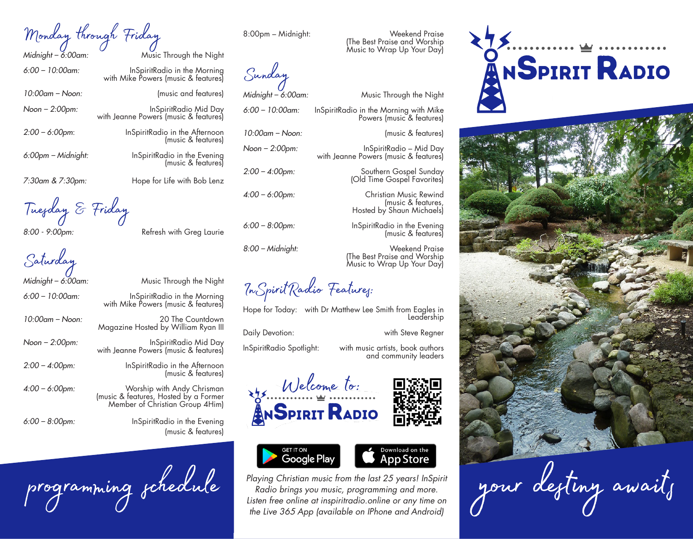Monday through Friday

*Midnight – 6:00am:* Music Through the Night

*6:00 – 10:00am:* InSpiritRadio in the Morning with Mike Powers (music & features)

*10:00am – Noon:* (music and features)

*Noon – 2:00pm:* InSpiritRadio Mid Day with Jeanne Powers (music & features)

*2:00 – 6:00pm*: InSpiritRadio in the Afternoon (music & features)

*6:00pm – Midnight:* InSpiritRadio in the Evening

*7:30am & 7:30pm:* Hope for Life with Bob Lenz

Tuesday & Friday

*8:00 - 9:00pm:* Refresh with Greg Laurie

Saturday

*Midnight – 6:00am:* Music Through the Night

*10:00am – Noon:* 20 The Countdown

with Mike Powers (music & features)

*Noon – 2:00pm:* InSpiritRadio Mid Day with Jeanne Powers (music & features)

*2:00 – 4:00pm:* InSpiritRadio in the Afternoon

*4:00 – 6:00pm:* Worship with Andy Chrisman

programming schedule

*6:00 – 8:00pm:* InSpiritRadio in the Evening (music & features)

(music & features)

Sunday

*Midnight – 6:00am:* Music Through the Night

*6:00 – 10:00am:* InSpiritRadio in the Morning with Mike Powers (music & features)

*Noon – 2:00pm:* InSpiritRadio – Mid Day

with Jeanne Powers (music & features)

(Old Time Gospel Favorites)

Hosted by Shaun Michaels)

(The Best Praise and Worship Music to Wrap Up Your Day)

(music & features,

(music & features)

8:00pm – Midnight: Weekend Praise

(The Best Praise and Worship Music to Wrap Up Your Day)

*10:00am – Noon:* (music & features)

*2:00 – 4:00pm:* Southern Gospel Sunday

*4:00 – 6:00pm:* Christian Music Rewind

*6:00 – 8:00pm:* InSpiritRadio in the Evening

*8:00 – Midnight:* Weekend Praise

InSpiritRadio Features:

Hope for Today: with Dr Matthew Lee Smith from Eagles in Leadership

Daily Devotion: with Steve Regner

InSpiritRadio Spotlight: with music artists, book authors and community leaders









*Playing Christian music from the last 25 years! InSpirit Radio brings you music, programming and more. Listen free online at inspiritradio.online or any time on the Live 365 App (available on IPhone and Android)*





your desting await,

*6:00 – 10:00am:* InSpiritRadio in the Morning



(music & features)

(music & features, Hosted by a Former Member of Christian Group 4Him)